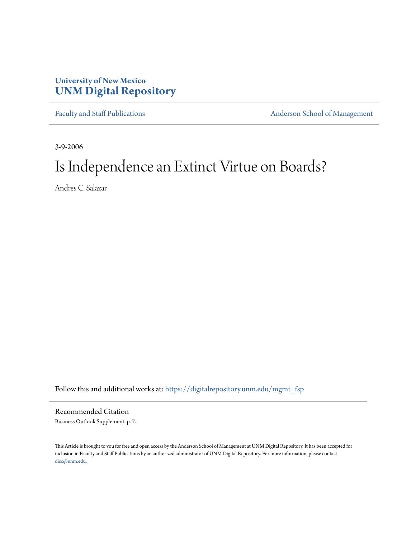## **University of New Mexico [UNM Digital Repository](https://digitalrepository.unm.edu?utm_source=digitalrepository.unm.edu%2Fmgmt_fsp%2F1&utm_medium=PDF&utm_campaign=PDFCoverPages)**

[Faculty and Staff Publications](https://digitalrepository.unm.edu/mgmt_fsp?utm_source=digitalrepository.unm.edu%2Fmgmt_fsp%2F1&utm_medium=PDF&utm_campaign=PDFCoverPages) **[Anderson School of Management](https://digitalrepository.unm.edu/mgmt?utm_source=digitalrepository.unm.edu%2Fmgmt_fsp%2F1&utm_medium=PDF&utm_campaign=PDFCoverPages)** 

3-9-2006

## Is Independence an Extinct Virtue on Boards?

Andres C. Salazar

Follow this and additional works at: [https://digitalrepository.unm.edu/mgmt\\_fsp](https://digitalrepository.unm.edu/mgmt_fsp?utm_source=digitalrepository.unm.edu%2Fmgmt_fsp%2F1&utm_medium=PDF&utm_campaign=PDFCoverPages)

Recommended Citation Business Outlook Supplement, p. 7.

This Article is brought to you for free and open access by the Anderson School of Management at UNM Digital Repository. It has been accepted for inclusion in Faculty and Staff Publications by an authorized administrator of UNM Digital Repository. For more information, please contact [disc@unm.edu](mailto:disc@unm.edu).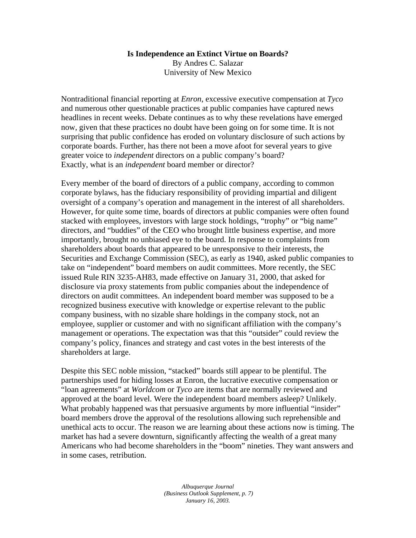## **Is Independence an Extinct Virtue on Boards?**

By Andres C. Salazar University of New Mexico

Nontraditional financial reporting at *Enron*, excessive executive compensation at *Tyco* and numerous other questionable practices at public companies have captured news headlines in recent weeks. Debate continues as to why these revelations have emerged now, given that these practices no doubt have been going on for some time. It is not surprising that public confidence has eroded on voluntary disclosure of such actions by corporate boards. Further, has there not been a move afoot for several years to give greater voice to *independent* directors on a public company's board? Exactly, what is an *independent* board member or director?

Every member of the board of directors of a public company, according to common corporate bylaws, has the fiduciary responsibility of providing impartial and diligent oversight of a company's operation and management in the interest of all shareholders. However, for quite some time, boards of directors at public companies were often found stacked with employees, investors with large stock holdings, "trophy" or "big name" directors, and "buddies" of the CEO who brought little business expertise, and more importantly, brought no unbiased eye to the board. In response to complaints from shareholders about boards that appeared to be unresponsive to their interests, the Securities and Exchange Commission (SEC), as early as 1940, asked public companies to take on "independent" board members on audit committees. More recently, the SEC issued Rule RIN 3235-AH83, made effective on January 31, 2000, that asked for disclosure via proxy statements from public companies about the independence of directors on audit committees. An independent board member was supposed to be a recognized business executive with knowledge or expertise relevant to the public company business, with no sizable share holdings in the company stock, not an employee, supplier or customer and with no significant affiliation with the company's management or operations. The expectation was that this "outsider" could review the company's policy, finances and strategy and cast votes in the best interests of the shareholders at large.

Despite this SEC noble mission, "stacked" boards still appear to be plentiful. The partnerships used for hiding losses at Enron, the lucrative executive compensation or "loan agreements" at *Worldcom* or *Tyco* are items that are normally reviewed and approved at the board level. Were the independent board members asleep? Unlikely. What probably happened was that persuasive arguments by more influential "insider" board members drove the approval of the resolutions allowing such reprehensible and unethical acts to occur. The reason we are learning about these actions now is timing. The market has had a severe downturn, significantly affecting the wealth of a great many Americans who had become shareholders in the "boom" nineties. They want answers and in some cases, retribution.

> *Albuquerque Journal (Business Outlook Supplement, p. 7) January 16, 2003.*